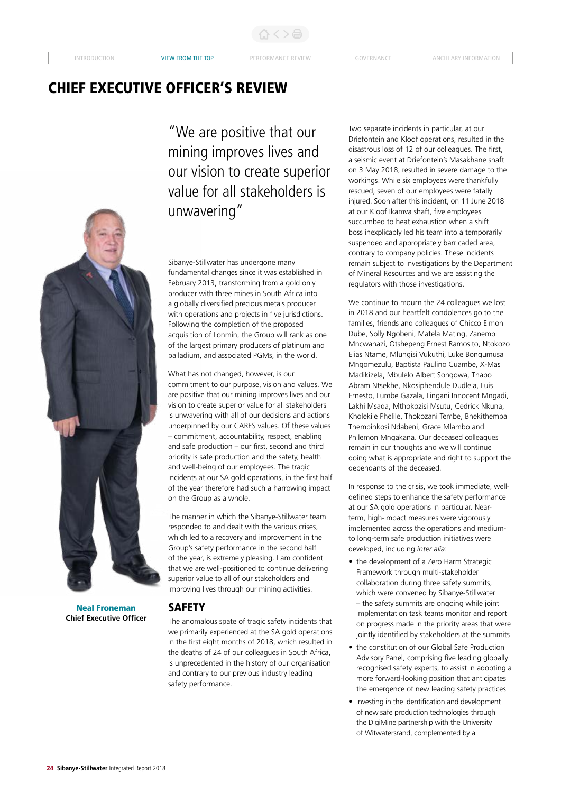# CHIEF EXECUTIVE OFFICER'S REVIEW

"We are positive that our mining improves lives and our vision to create superior value for all stakeholders is unwavering"

Sibanye-Stillwater has undergone many fundamental changes since it was established in February 2013, transforming from a gold only producer with three mines in South Africa into a globally diversified precious metals producer with operations and projects in five jurisdictions. Following the completion of the proposed acquisition of Lonmin, the Group will rank as one of the largest primary producers of platinum and palladium, and associated PGMs, in the world.

What has not changed, however, is our commitment to our purpose, vision and values. We are positive that our mining improves lives and our vision to create superior value for all stakeholders is unwavering with all of our decisions and actions underpinned by our CARES values. Of these values – commitment, accountability, respect, enabling and safe production – our first, second and third priority is safe production and the safety, health and well-being of our employees. The tragic incidents at our SA gold operations, in the first half of the year therefore had such a harrowing impact on the Group as a whole.

The manner in which the Sibanye-Stillwater team responded to and dealt with the various crises, which led to a recovery and improvement in the Group's safety performance in the second half of the year, is extremely pleasing. I am confident that we are well-positioned to continue delivering superior value to all of our stakeholders and improving lives through our mining activities.

**Chief Executive Officer**

# **SAFETY**

The anomalous spate of tragic safety incidents that we primarily experienced at the SA gold operations in the first eight months of 2018, which resulted in the deaths of 24 of our colleagues in South Africa, is unprecedented in the history of our organisation and contrary to our previous industry leading safety performance.

Two separate incidents in particular, at our Driefontein and Kloof operations, resulted in the disastrous loss of 12 of our colleagues. The first, a seismic event at Driefontein's Masakhane shaft on 3 May 2018, resulted in severe damage to the workings. While six employees were thankfully rescued, seven of our employees were fatally injured. Soon after this incident, on 11 June 2018 at our Kloof Ikamva shaft, five employees succumbed to heat exhaustion when a shift boss inexplicably led his team into a temporarily suspended and appropriately barricaded area, contrary to company policies. These incidents remain subject to investigations by the Department of Mineral Resources and we are assisting the regulators with those investigations.

We continue to mourn the 24 colleagues we lost in 2018 and our heartfelt condolences go to the families, friends and colleagues of Chicco Elmon Dube, Solly Ngobeni, Matela Mating, Zanempi Mncwanazi, Otshepeng Ernest Ramosito, Ntokozo Elias Ntame, Mlungisi Vukuthi, Luke Bongumusa Mngomezulu, Baptista Paulino Cuambe, X-Mas Madikizela, Mbulelo Albert Sonqowa, Thabo Abram Ntsekhe, Nkosiphendule Dudlela, Luis Ernesto, Lumbe Gazala, Lingani Innocent Mngadi, Lakhi Msada, Mthokozisi Msutu, Cedrick Nkuna, Kholekile Phelile, Thokozani Tembe, Bhekithemba Thembinkosi Ndabeni, Grace Mlambo and Philemon Mngakana. Our deceased colleagues remain in our thoughts and we will continue doing what is appropriate and right to support the dependants of the deceased.

In response to the crisis, we took immediate, welldefined steps to enhance the safety performance at our SA gold operations in particular. Nearterm, high-impact measures were vigorously implemented across the operations and mediumto long-term safe production initiatives were developed, including *inter alia*:

- the development of a Zero Harm Strategic Framework through multi-stakeholder collaboration during three safety summits, which were convened by Sibanye-Stillwater – the safety summits are ongoing while joint implementation task teams monitor and report on progress made in the priority areas that were jointly identified by stakeholders at the summits
- the constitution of our Global Safe Production Advisory Panel, comprising five leading globally recognised safety experts, to assist in adopting a more forward-looking position that anticipates the emergence of new leading safety practices
- investing in the identification and development of new safe production technologies through the DigiMine partnership with the University of Witwatersrand, complemented by a

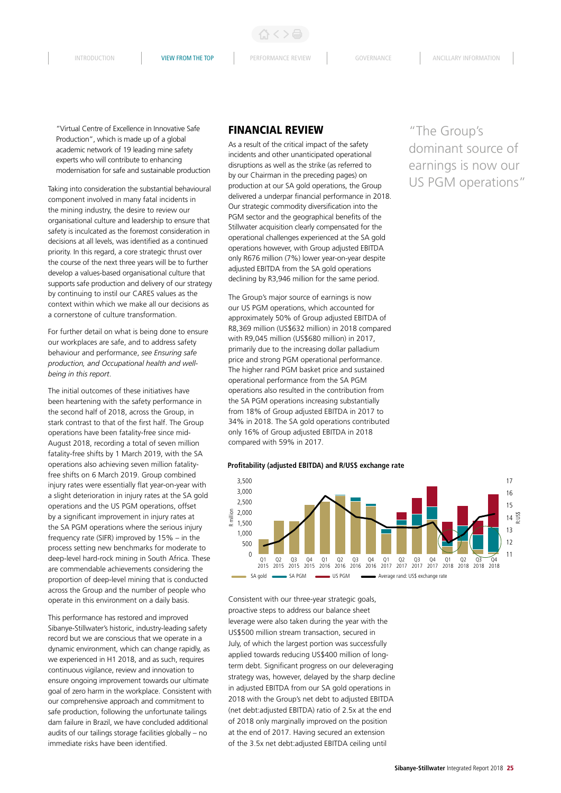$\langle \ \rangle$ a

"Virtual Centre of Excellence in Innovative Safe Production", which is made up of a global academic network of 19 leading mine safety experts who will contribute to enhancing modernisation for safe and sustainable production

Taking into consideration the substantial behavioural component involved in many fatal incidents in the mining industry, the desire to review our organisational culture and leadership to ensure that safety is inculcated as the foremost consideration in decisions at all levels, was identified as a continued priority. In this regard, a core strategic thrust over the course of the next three years will be to further develop a values-based organisational culture that supports safe production and delivery of our strategy by continuing to instil our CARES values as the context within which we make all our decisions as a cornerstone of culture transformation.

For further detail on what is being done to ensure our workplaces are safe, and to address safety behaviour and performance, *see Ensuring safe production, and Occupational health and wellbeing in this report*.

The initial outcomes of these initiatives have been heartening with the safety performance in the second half of 2018, across the Group, in stark contrast to that of the first half. The Group operations have been fatality-free since mid-August 2018, recording a total of seven million fatality-free shifts by 1 March 2019, with the SA operations also achieving seven million fatalityfree shifts on 6 March 2019. Group combined injury rates were essentially flat year-on-year with a slight deterioration in injury rates at the SA gold operations and the US PGM operations, offset by a significant improvement in injury rates at the SA PGM operations where the serious injury frequency rate (SIFR) improved by 15% – in the process setting new benchmarks for moderate to deep-level hard-rock mining in South Africa. These are commendable achievements considering the proportion of deep-level mining that is conducted across the Group and the number of people who operate in this environment on a daily basis.

This performance has restored and improved Sibanye-Stillwater's historic, industry-leading safety record but we are conscious that we operate in a dynamic environment, which can change rapidly, as we experienced in H1 2018, and as such, requires continuous vigilance, review and innovation to ensure ongoing improvement towards our ultimate goal of zero harm in the workplace. Consistent with our comprehensive approach and commitment to safe production, following the unfortunate tailings dam failure in Brazil, we have concluded additional audits of our tailings storage facilities globally – no immediate risks have been identified.

### FINANCIAL REVIEW

As a result of the critical impact of the safety incidents and other unanticipated operational disruptions as well as the strike (as referred to by our Chairman in the preceding pages) on production at our SA gold operations, the Group delivered a underpar financial performance in 2018. Our strategic commodity diversification into the PGM sector and the geographical benefits of the Stillwater acquisition clearly compensated for the operational challenges experienced at the SA gold operations however, with Group adjusted EBITDA only R676 million (7%) lower year-on-year despite adjusted EBITDA from the SA gold operations declining by R3,946 million for the same period.

The Group's major source of earnings is now our US PGM operations, which accounted for approximately 50% of Group adjusted EBITDA of R8,369 million (US\$632 million) in 2018 compared with R9,045 million (US\$680 million) in 2017, primarily due to the increasing dollar palladium price and strong PGM operational performance. The higher rand PGM basket price and sustained operational performance from the SA PGM operations also resulted in the contribution from the SA PGM operations increasing substantially from 18% of Group adjusted EBITDA in 2017 to 34% in 2018. The SA gold operations contributed only 16% of Group adjusted EBITDA in 2018 compared with 59% in 2017.

**Profitability (adjusted EBITDA) and R/US\$ exchange rate**



Consistent with our three-year strategic goals, proactive steps to address our balance sheet leverage were also taken during the year with the US\$500 million stream transaction, secured in July, of which the largest portion was successfully applied towards reducing US\$400 million of longterm debt. Significant progress on our deleveraging strategy was, however, delayed by the sharp decline in adjusted EBITDA from our SA gold operations in 2018 with the Group's net debt to adjusted EBITDA (net debt:adjusted EBITDA) ratio of 2.5x at the end of 2018 only marginally improved on the position at the end of 2017. Having secured an extension of the 3.5x net debt:adjusted EBITDA ceiling until

"The Group's dominant source of earnings is now our US PGM operations"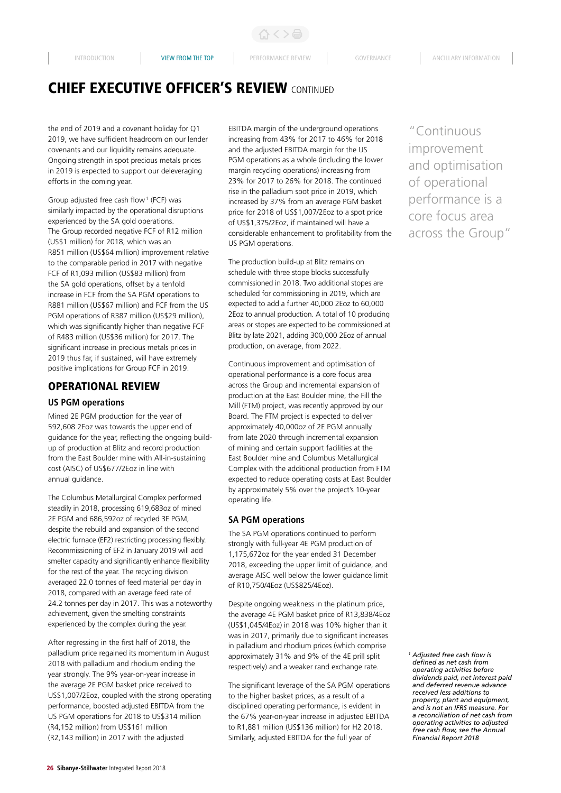# CHIEF EXECUTIVE OFFICER'S REVIEW CONTINUED

the end of 2019 and a covenant holiday for Q1 2019, we have sufficient headroom on our lender covenants and our liquidity remains adequate. Ongoing strength in spot precious metals prices in 2019 is expected to support our deleveraging efforts in the coming year.

Group adjusted free cash flow<sup>1</sup> (FCF) was similarly impacted by the operational disruptions experienced by the SA gold operations. The Group recorded negative FCF of R12 million (US\$1 million) for 2018, which was an R851 million (US\$64 million) improvement relative to the comparable period in 2017 with negative FCF of R1,093 million (US\$83 million) from the SA gold operations, offset by a tenfold increase in FCF from the SA PGM operations to R881 million (US\$67 million) and FCF from the US PGM operations of R387 million (US\$29 million), which was significantly higher than negative FCF of R483 million (US\$36 million) for 2017. The significant increase in precious metals prices in 2019 thus far, if sustained, will have extremely positive implications for Group FCF in 2019.

# OPERATIONAL REVIEW

#### **US PGM operations**

Mined 2E PGM production for the year of 592,608 2Eoz was towards the upper end of guidance for the year, reflecting the ongoing buildup of production at Blitz and record production from the East Boulder mine with All-in-sustaining cost (AISC) of US\$677/2Eoz in line with annual guidance.

The Columbus Metallurgical Complex performed steadily in 2018, processing 619,683oz of mined 2E PGM and 686,592oz of recycled 3E PGM, despite the rebuild and expansion of the second electric furnace (EF2) restricting processing flexibly. Recommissioning of EF2 in January 2019 will add smelter capacity and significantly enhance flexibility for the rest of the year. The recycling division averaged 22.0 tonnes of feed material per day in 2018, compared with an average feed rate of 24.2 tonnes per day in 2017. This was a noteworthy achievement, given the smelting constraints experienced by the complex during the year.

After regressing in the first half of 2018, the palladium price regained its momentum in August 2018 with palladium and rhodium ending the year strongly. The 9% year-on-year increase in the average 2E PGM basket price received to US\$1,007/2Eoz, coupled with the strong operating performance, boosted adjusted EBITDA from the US PGM operations for 2018 to US\$314 million (R4,152 million) from US\$161 million (R2,143 million) in 2017 with the adjusted

EBITDA margin of the underground operations increasing from 43% for 2017 to 46% for 2018 and the adjusted EBITDA margin for the US PGM operations as a whole (including the lower margin recycling operations) increasing from 23% for 2017 to 26% for 2018. The continued rise in the palladium spot price in 2019, which increased by 37% from an average PGM basket price for 2018 of US\$1,007/2Eoz to a spot price of US\$1,375/2Eoz, if maintained will have a considerable enhancement to profitability from the US PGM operations.

The production build-up at Blitz remains on schedule with three stope blocks successfully commissioned in 2018. Two additional stopes are scheduled for commissioning in 2019, which are expected to add a further 40,000 2Eoz to 60,000 2Eoz to annual production. A total of 10 producing areas or stopes are expected to be commissioned at Blitz by late 2021, adding 300,000 2Eoz of annual production, on average, from 2022.

Continuous improvement and optimisation of operational performance is a core focus area across the Group and incremental expansion of production at the East Boulder mine, the Fill the Mill (FTM) project, was recently approved by our Board. The FTM project is expected to deliver approximately 40,000oz of 2E PGM annually from late 2020 through incremental expansion of mining and certain support facilities at the East Boulder mine and Columbus Metallurgical Complex with the additional production from FTM expected to reduce operating costs at East Boulder by approximately 5% over the project's 10-year operating life.

### **SA PGM operations**

The SA PGM operations continued to perform strongly with full-year 4E PGM production of 1,175,672oz for the year ended 31 December 2018, exceeding the upper limit of guidance, and average AISC well below the lower guidance limit of R10,750/4Eoz (US\$825/4Eoz).

Despite ongoing weakness in the platinum price, the average 4E PGM basket price of R13,838/4Eoz (US\$1,045/4Eoz) in 2018 was 10% higher than it was in 2017, primarily due to significant increases in palladium and rhodium prices (which comprise approximately 31% and 9% of the 4E prill split respectively) and a weaker rand exchange rate.

The significant leverage of the SA PGM operations to the higher basket prices, as a result of a disciplined operating performance, is evident in the 67% year-on-year increase in adjusted EBITDA to R1,881 million (US\$136 million) for H2 2018. Similarly, adjusted EBITDA for the full year of

"Continuous improvement and optimisation of operational performance is a core focus area across the Group"

*<sup>1</sup> Adjusted free cash flow is defined as net cash from operating activities before dividends paid, net interest paid and deferred revenue advance received less additions to property, plant and equipment, and is not an IFRS measure. For a reconciliation of net cash from operating activities to adjusted free cash flow, see the Annual Financial Report 2018*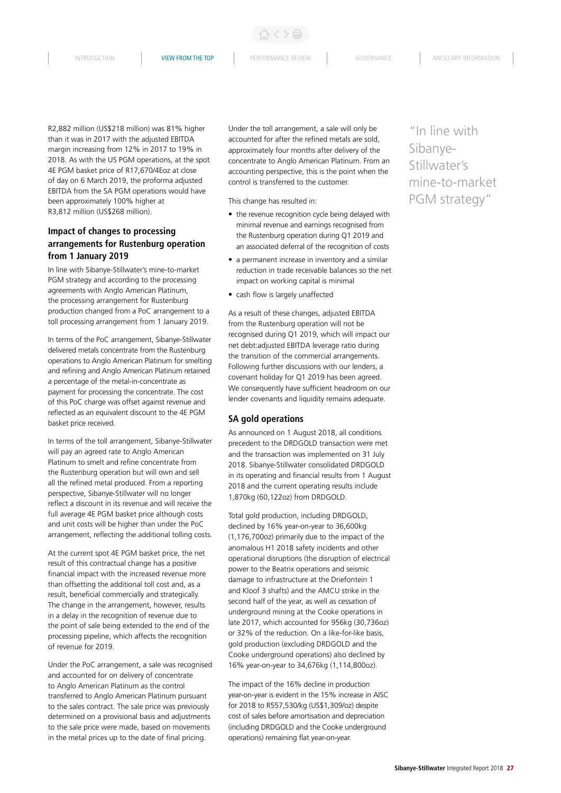INTRODUCTION **VIEW FROM THE TOP** PERFORMANCE REVIEW GOVERNANCE ANCILLARY INFORMATION

R2,882 million (US\$218 million) was 81% higher than it was in 2017 with the adjusted EBITDA margin increasing from 12% in 2017 to 19% in 2018. As with the US PGM operations, at the spot 4E PGM basket price of R17,670/4Eoz at close of day on 6 March 2019, the proforma adjusted EBITDA from the SA PGM operations would have been approximately 100% higher at R3,812 million (US\$268 million).

# **Impact of changes to processing arrangements for Rustenburg operation from 1 January 2019**

In line with Sibanye-Stillwater's mine-to-market PGM strategy and according to the processing agreements with Anglo American Platinum, the processing arrangement for Rustenburg production changed from a PoC arrangement to a toll processing arrangement from 1 January 2019.

In terms of the PoC arrangement, Sibanye-Stillwater delivered metals concentrate from the Rustenburg operations to Anglo American Platinum for smelting and refining and Anglo American Platinum retained a percentage of the metal-in-concentrate as payment for processing the concentrate. The cost of this PoC charge was offset against revenue and reflected as an equivalent discount to the 4E PGM basket price received.

In terms of the toll arrangement, Sibanye-Stillwater will pay an agreed rate to Anglo American Platinum to smelt and refine concentrate from the Rustenburg operation but will own and sell all the refined metal produced. From a reporting perspective, Sibanye-Stillwater will no longer reflect a discount in its revenue and will receive the full average 4E PGM basket price although costs and unit costs will be higher than under the PoC arrangement, reflecting the additional tolling costs.

At the current spot 4E PGM basket price, the net result of this contractual change has a positive financial impact with the increased revenue more than offsetting the additional toll cost and, as a result, beneficial commercially and strategically. The change in the arrangement, however, results in a delay in the recognition of revenue due to the point of sale being extended to the end of the processing pipeline, which affects the recognition of revenue for 2019.

Under the PoC arrangement, a sale was recognised and accounted for on delivery of concentrate to Anglo American Platinum as the control transferred to Anglo American Platinum pursuant to the sales contract. The sale price was previously determined on a provisional basis and adjustments to the sale price were made, based on movements in the metal prices up to the date of final pricing.

Under the toll arrangement, a sale will only be accounted for after the refined metals are sold, approximately four months after delivery of the concentrate to Anglo American Platinum. From an accounting perspective, this is the point when the control is transferred to the customer.

This change has resulted in:

- the revenue recognition cycle being delayed with minimal revenue and earnings recognised from the Rustenburg operation during Q1 2019 and an associated deferral of the recognition of costs
- a permanent increase in inventory and a similar reduction in trade receivable balances so the net impact on working capital is minimal
- cash flow is largely unaffected

As a result of these changes, adjusted EBITDA from the Rustenburg operation will not be recognised during Q1 2019, which will impact our net debt:adjusted EBITDA leverage ratio during the transition of the commercial arrangements. Following further discussions with our lenders, a covenant holiday for Q1 2019 has been agreed. We consequently have sufficient headroom on our lender covenants and liquidity remains adequate.

### **SA gold operations**

As announced on 1 August 2018, all conditions precedent to the DRDGOLD transaction were met and the transaction was implemented on 31 July 2018. Sibanye-Stillwater consolidated DRDGOLD in its operating and financial results from 1 August 2018 and the current operating results include 1,870kg (60,122oz) from DRDGOLD.

Total gold production, including DRDGOLD, declined by 16% year-on-year to 36,600kg (1,176,700oz) primarily due to the impact of the anomalous H1 2018 safety incidents and other operational disruptions (the disruption of electrical power to the Beatrix operations and seismic damage to infrastructure at the Driefontein 1 and Kloof 3 shafts) and the AMCU strike in the second half of the year, as well as cessation of underground mining at the Cooke operations in late 2017, which accounted for 956kg (30,736oz) or 32% of the reduction. On a like-for-like basis, gold production (excluding DRDGOLD and the Cooke underground operations) also declined by 16% year-on-year to 34,676kg (1,114,800oz).

The impact of the 16% decline in production year-on-year is evident in the 15% increase in AISC for 2018 to R557,530/kg (US\$1,309/oz) despite cost of sales before amortisation and depreciation (including DRDGOLD and the Cooke underground operations) remaining flat year-on-year.

"In line with Sibanye-Stillwater's mine-to-market PGM strategy"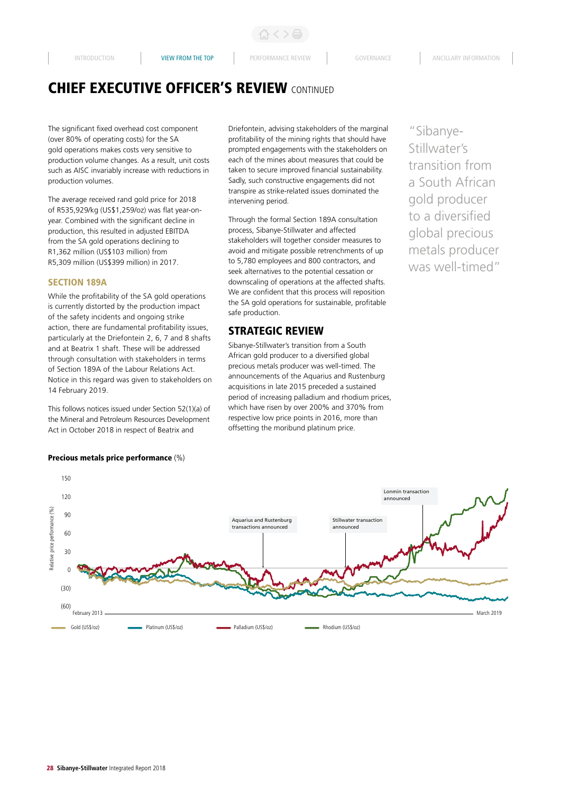ひくと骨

# CHIEF EXECUTIVE OFFICER'S REVIEW CONTINUED

The significant fixed overhead cost component (over 80% of operating costs) for the SA gold operations makes costs very sensitive to production volume changes. As a result, unit costs such as AISC invariably increase with reductions in production volumes.

The average received rand gold price for 2018 of R535,929/kg (US\$1,259/oz) was flat year-onyear. Combined with the significant decline in production, this resulted in adjusted EBITDA from the SA gold operations declining to R1,362 million (US\$103 million) from R5,309 million (US\$399 million) in 2017.

### SECTION 189A

While the profitability of the SA gold operations is currently distorted by the production impact of the safety incidents and ongoing strike action, there are fundamental profitability issues, particularly at the Driefontein 2, 6, 7 and 8 shafts and at Beatrix 1 shaft. These will be addressed through consultation with stakeholders in terms of Section 189A of the Labour Relations Act. Notice in this regard was given to stakeholders on 14 February 2019.

This follows notices issued under Section 52(1)(a) of the Mineral and Petroleum Resources Development Act in October 2018 in respect of Beatrix and

#### Precious metals price performance (%)

Driefontein, advising stakeholders of the marginal profitability of the mining rights that should have prompted engagements with the stakeholders on each of the mines about measures that could be taken to secure improved financial sustainability. Sadly, such constructive engagements did not transpire as strike-related issues dominated the intervening period.

Through the formal Section 189A consultation process, Sibanye-Stillwater and affected stakeholders will together consider measures to avoid and mitigate possible retrenchments of up to 5,780 employees and 800 contractors, and seek alternatives to the potential cessation or downscaling of operations at the affected shafts. We are confident that this process will reposition the SA gold operations for sustainable, profitable safe production.

# STRATEGIC REVIEW

Sibanye-Stillwater's transition from a South African gold producer to a diversified global precious metals producer was well-timed. The announcements of the Aquarius and Rustenburg acquisitions in late 2015 preceded a sustained period of increasing palladium and rhodium prices, which have risen by over 200% and 370% from respective low price points in 2016, more than offsetting the moribund platinum price.

"Sibanye-Stillwater's transition from a South African gold producer to a diversified global precious metals producer was well-timed"

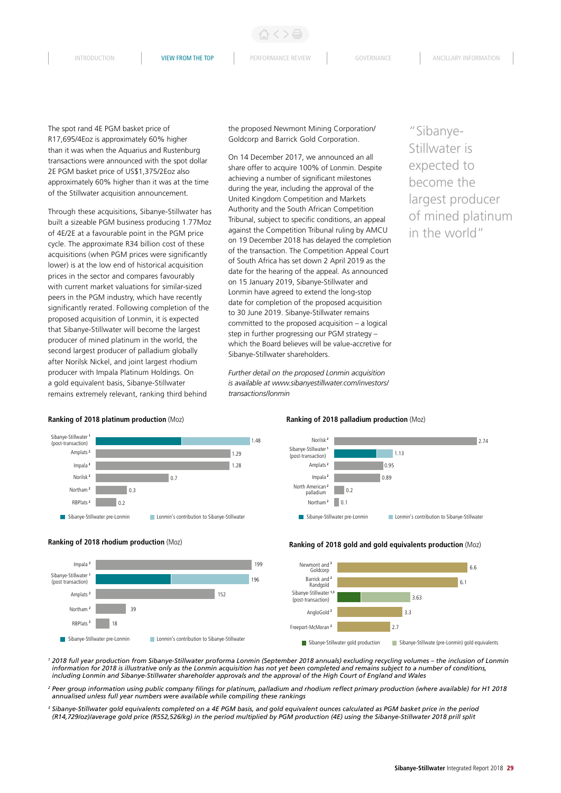INTRODUCTION **VIEW FROM THE TOP** PERFORMANCE REVIEW GOVERNANCE ANCILLARY INFORMATION

くゝ品

The spot rand 4E PGM basket price of R17,695/4Eoz is approximately 60% higher than it was when the Aquarius and Rustenburg transactions were announced with the spot dollar 2E PGM basket price of US\$1,375/2Eoz also approximately 60% higher than it was at the time of the Stillwater acquisition announcement.

Through these acquisitions, Sibanye-Stillwater has built a sizeable PGM business producing 1.77Moz of 4E/2E at a favourable point in the PGM price cycle. The approximate R34 billion cost of these acquisitions (when PGM prices were significantly lower) is at the low end of historical acquisition prices in the sector and compares favourably with current market valuations for similar-sized peers in the PGM industry, which have recently significantly rerated. Following completion of the proposed acquisition of Lonmin, it is expected that Sibanye-Stillwater will become the largest producer of mined platinum in the world, the second largest producer of palladium globally after Norilsk Nickel, and joint largest rhodium producer with Impala Platinum Holdings. On a gold equivalent basis, Sibanye-Stillwater remains extremely relevant, ranking third behind

the proposed Newmont Mining Corporation/ Goldcorp and Barrick Gold Corporation.

On 14 December 2017, we announced an all share offer to acquire 100% of Lonmin. Despite achieving a number of significant milestones during the year, including the approval of the United Kingdom Competition and Markets Authority and the South African Competition Tribunal, subject to specific conditions, an appeal against the Competition Tribunal ruling by AMCU on 19 December 2018 has delayed the completion of the transaction. The Competition Appeal Court of South Africa has set down 2 April 2019 as the date for the hearing of the appeal. As announced on 15 January 2019, Sibanye-Stillwater and Lonmin have agreed to extend the long-stop date for completion of the proposed acquisition to 30 June 2019. Sibanye-Stillwater remains committed to the proposed acquisition – a logical step in further progressing our PGM strategy – which the Board believes will be value-accretive for Sibanye-Stillwater shareholders.

*Further detail on the proposed Lonmin acquisition is available at www.sibanyestillwater.com/investors/ transactions/lonmin*

"Sibanye-Stillwater is expected to become the largest producer of mined platinum in the world"

#### **Ranking of 2018 platinum production** (Moz)

**Ranking of 2018 rhodium production** (Moz)





#### **Ranking of 2018 palladium production** (Moz)



#### **Ranking of 2018 gold and gold equivalents production** (Moz)



Sibanye-Stillwater gold production Sibanye-Stillwate (pre-Lonmin) gold equivalents

<sup>1</sup> 2018 full year production from Sibanye-Stillwater proforma Lonmin (September 2018 annuals) excluding recycling volumes – the inclusion of Lonmin *information for 2018 is illustrative only as the Lonmin acquisition has not yet been completed and remains subject to a number of conditions, including Lonmin and Sibanye-Stillwater shareholder approvals and the approval of the High Court of England and Wales*

*<sup>2</sup> Peer group information using public company filings for platinum, palladium and rhodium reflect primary production (where available) for H1 2018 annualised unless full year numbers were available while compiling these rankings* 

*<sup>3</sup> Sibanye-Stillwater gold equivalents completed on a 4E PGM basis, and gold equivalent ounces calculated as PGM basket price in the period (R14,729/oz)/average gold price (R552,526/kg) in the period multiplied by PGM production (4E) using the Sibanye-Stillwater 2018 prill split*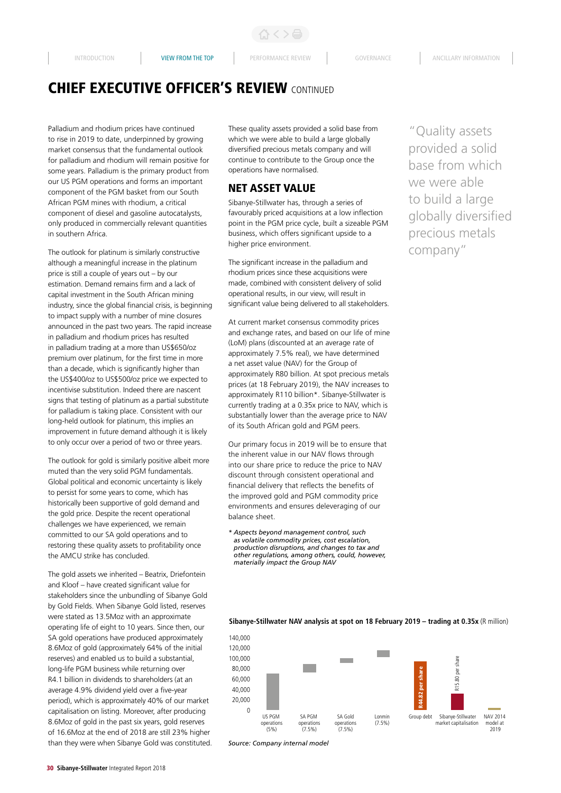# CHIEF EXECUTIVE OFFICER'S REVIEW CONTINUED

Palladium and rhodium prices have continued to rise in 2019 to date, underpinned by growing market consensus that the fundamental outlook for palladium and rhodium will remain positive for some years. Palladium is the primary product from our US PGM operations and forms an important component of the PGM basket from our South African PGM mines with rhodium, a critical component of diesel and gasoline autocatalysts, only produced in commercially relevant quantities in southern Africa.

The outlook for platinum is similarly constructive although a meaningful increase in the platinum price is still a couple of years out – by our estimation. Demand remains firm and a lack of capital investment in the South African mining industry, since the global financial crisis, is beginning to impact supply with a number of mine closures announced in the past two years. The rapid increase in palladium and rhodium prices has resulted in palladium trading at a more than US\$650/oz premium over platinum, for the first time in more than a decade, which is significantly higher than the US\$400/oz to US\$500/oz price we expected to incentivise substitution. Indeed there are nascent signs that testing of platinum as a partial substitute for palladium is taking place. Consistent with our long-held outlook for platinum, this implies an improvement in future demand although it is likely to only occur over a period of two or three years.

The outlook for gold is similarly positive albeit more muted than the very solid PGM fundamentals. Global political and economic uncertainty is likely to persist for some years to come, which has historically been supportive of gold demand and the gold price. Despite the recent operational challenges we have experienced, we remain committed to our SA gold operations and to restoring these quality assets to profitability once the AMCU strike has concluded.

The gold assets we inherited – Beatrix, Driefontein and Kloof – have created significant value for stakeholders since the unbundling of Sibanye Gold by Gold Fields. When Sibanye Gold listed, reserves were stated as 13.5Moz with an approximate operating life of eight to 10 years. Since then, our SA gold operations have produced approximately 8.6Moz of gold (approximately 64% of the initial reserves) and enabled us to build a substantial, long-life PGM business while returning over R4.1 billion in dividends to shareholders (at an average 4.9% dividend yield over a five-year period), which is approximately 40% of our market capitalisation on listing. Moreover, after producing 8.6Moz of gold in the past six years, gold reserves of 16.6Moz at the end of 2018 are still 23% higher than they were when Sibanye Gold was constituted. These quality assets provided a solid base from which we were able to build a large globally diversified precious metals company and will continue to contribute to the Group once the operations have normalised.

# NET ASSET VALUE

Sibanye-Stillwater has, through a series of favourably priced acquisitions at a low inflection point in the PGM price cycle, built a sizeable PGM business, which offers significant upside to a higher price environment.

The significant increase in the palladium and rhodium prices since these acquisitions were made, combined with consistent delivery of solid operational results, in our view, will result in significant value being delivered to all stakeholders.

At current market consensus commodity prices and exchange rates, and based on our life of mine (LoM) plans (discounted at an average rate of approximately 7.5% real), we have determined a net asset value (NAV) for the Group of approximately R80 billion. At spot precious metals prices (at 18 February 2019), the NAV increases to approximately R110 billion\*. Sibanye-Stillwater is currently trading at a 0.35x price to NAV, which is substantially lower than the average price to NAV of its South African gold and PGM peers.

Our primary focus in 2019 will be to ensure that the inherent value in our NAV flows through into our share price to reduce the price to NAV discount through consistent operational and financial delivery that reflects the benefits of the improved gold and PGM commodity price environments and ensures deleveraging of our balance sheet.

*\* Aspects beyond management control, such as volatile commodity prices, cost escalation, production disruptions, and changes to tax and other regulations, among others, could, however, materially impact the Group NAV*

"Quality assets provided a solid base from which we were able to build a large globally diversified precious metals company"

#### **Sibanye-Stillwater NAV analysis at spot on 18 February 2019 – trading at 0.35x** (R million)



*Source: Company internal model*